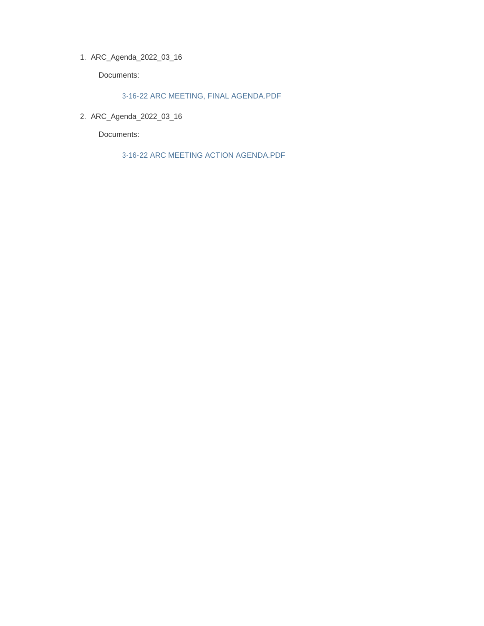ARC\_Agenda\_2022\_03\_16 1.

Documents:

3-16-22 ARC MEETING, FINAL AGENDA.PDF

ARC\_Agenda\_2022\_03\_16 2.

Documents:

3-16-22 ARC MEETING ACTION AGENDA.PDF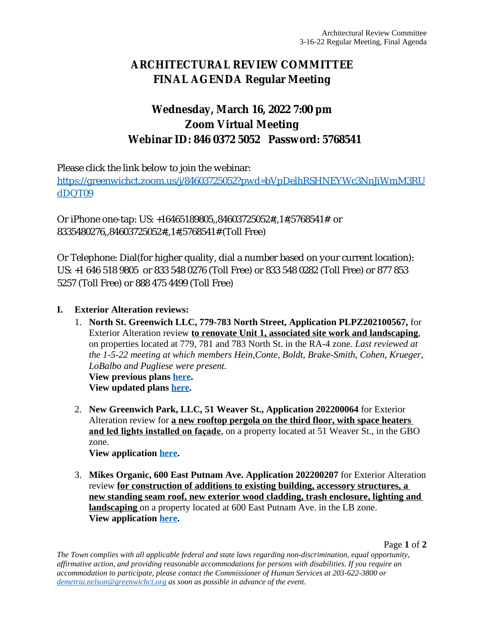# **ARCHITECTURAL REVIEW COMMITTEE FINAL AGENDA Regular Meeting**

## **Wednesday, March 16, 2022 7:00 pm Zoom Virtual Meeting Webinar ID: 846 0372 5052 Password: 5768541**

Please click the link below to join the webinar:

[https://greenwichct.zoom.us/j/84603725052?pwd=bVpDelhRSHNEYWc3NnJiWmM3RU](https://greenwichct.zoom.us/j/84603725052?pwd=bVpDelhRSHNEYWc3NnJiWmM3RUdDQT09) dDQT09

Or iPhone one-tap: US: +16465189805,,84603725052#,,1#,5768541# or 8335480276,,84603725052#,,1#,5768541# (Toll Free)

Or Telephone: Dial(for higher quality, dial a number based on your current location): US: +1 646 518 9805 or 833 548 0276 (Toll Free) or 833 548 0282 (Toll Free) or 877 853 5257 (Toll Free) or 888 475 4499 (Toll Free)

### **I. Exterior Alteration reviews:**

1. **North St. Greenwich LLC, 779-783 North Street, Application PLPZ202100567,** for Exterior Alteration review **to renovate Unit 1, associated site work and landscaping**, on properties located at 779, 781 and 783 North St. in the RA-4 zone. *Last reviewed at the 1-5-22 meeting at which members Hein,Conte, Boldt, Brake-Smith, Cohen, Krueger, LoBalbo and Pugliese were present.*

**View previous plans [here.](https://www.greenwichct.gov/DocumentCenter/View/27244/779-783-North-St-updated-plans) View updated plans [here.](https://www.greenwichct.gov/DocumentCenter/View/29080/202100567---779-North-St---Revised-Drawings)**

2. **New Greenwich Park, LLC, 51 Weaver St., Application 202200064** for Exterior Alteration review for **a new rooftop pergola on the third floor, with space heaters and led lights installed on façade**, on a property located at 51 Weaver St., in the GBO zone.

**View application [here](https://www.greenwichct.gov/DocumentCenter/View/29082/202200064-51-Weaver-St-GOP-pergola).**

3. **Mikes Organic, 600 East Putnam Ave. Application 202200207** for Exterior Alteration review **for construction of additions to existing building, accessory structures, a new standing seam roof, new exterior wood cladding, trash enclosure, lighting and landscaping** on a property located at 600 East Putnam Ave. in the LB zone. **View application [here](https://www.greenwichct.gov/DocumentCenter/View/29081/202200207---MIKES-ORGANIC---600-East-Put-FULL-SET).**

Page **1** of **2**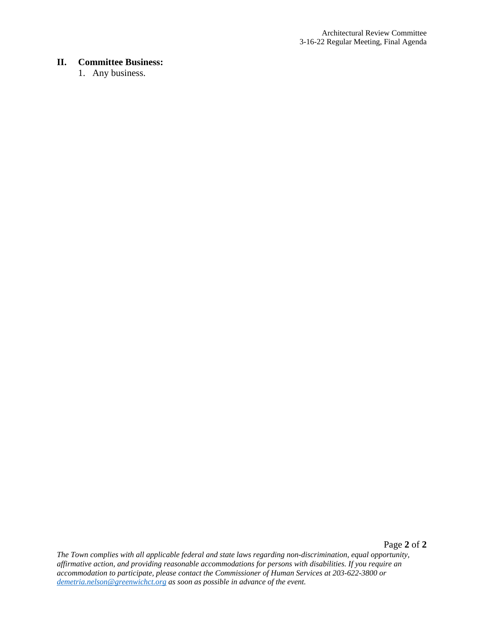#### **II. Committee Business:**

1. Any business.

*The Town complies with all applicable federal and state laws regarding non-discrimination, equal opportunity, affirmative action, and providing reasonable accommodations for persons with disabilities. If you require an accommodation to participate, please contact the Commissioner of Human Services at 203-622-3800 or [demetria.nelson@greenwichct.org](mailto:demetria.nelson@greenwichct.org) as soon as possible in advance of the event.*

Page **2** of **2**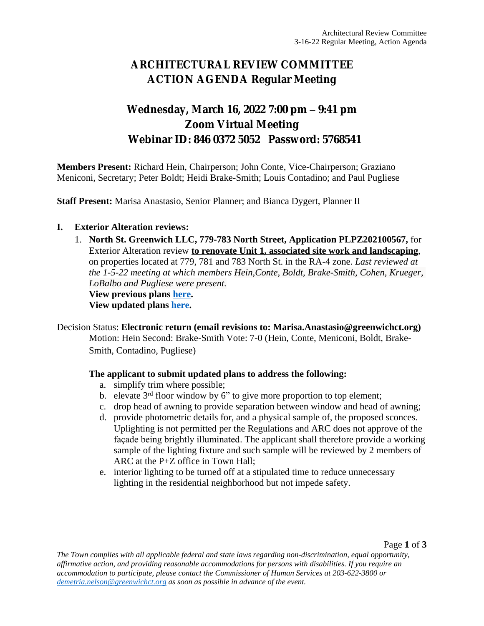# **ARCHITECTURAL REVIEW COMMITTEE ACTION AGENDA Regular Meeting**

## **Wednesday, March 16, 2022 7:00 pm – 9:41 pm Zoom Virtual Meeting Webinar ID: 846 0372 5052 Password: 5768541**

**Members Present:** Richard Hein, Chairperson; John Conte, Vice-Chairperson; Graziano Meniconi, Secretary; Peter Boldt; Heidi Brake-Smith; Louis Contadino; and Paul Pugliese

**Staff Present:** Marisa Anastasio, Senior Planner; and Bianca Dygert, Planner II

#### **I. Exterior Alteration reviews:**

1. **North St. Greenwich LLC, 779-783 North Street, Application PLPZ202100567,** for Exterior Alteration review **to renovate Unit 1, associated site work and landscaping**, on properties located at 779, 781 and 783 North St. in the RA-4 zone. *Last reviewed at the 1-5-22 meeting at which members Hein,Conte, Boldt, Brake-Smith, Cohen, Krueger, LoBalbo and Pugliese were present.*

**View previous plans [here.](https://www.greenwichct.gov/DocumentCenter/View/27244/779-783-North-St-updated-plans)**

**View updated plans [here.](https://www.greenwichct.gov/DocumentCenter/View/29080/202100567---779-North-St---Revised-Drawings)**

Decision Status: **Electronic return (email revisions to: Marisa.Anastasio@greenwichct.org)**

Motion: Hein Second: Brake-Smith Vote: 7-0 (Hein, Conte, Meniconi, Boldt, Brake-Smith, Contadino, Pugliese)

#### **The applicant to submit updated plans to address the following:**

- a. simplify trim where possible;
- b. elevate 3<sup>rd</sup> floor window by 6" to give more proportion to top element;
- c. drop head of awning to provide separation between window and head of awning;
- d. provide photometric details for, and a physical sample of, the proposed sconces. Uplighting is not permitted per the Regulations and ARC does not approve of the façade being brightly illuminated. The applicant shall therefore provide a working sample of the lighting fixture and such sample will be reviewed by 2 members of ARC at the P+Z office in Town Hall;
- e. interior lighting to be turned off at a stipulated time to reduce unnecessary lighting in the residential neighborhood but not impede safety.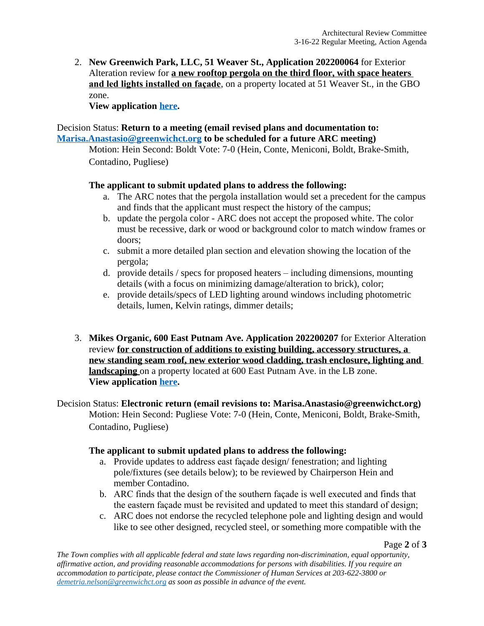2. **New Greenwich Park, LLC, 51 Weaver St., Application 202200064** for Exterior Alteration review for **a new rooftop pergola on the third floor, with space heaters and led lights installed on façade**, on a property located at 51 Weaver St., in the GBO zone.

**View application [here](https://www.greenwichct.gov/DocumentCenter/View/29082/202200064-51-Weaver-St-GOP-pergola).**

### Decision Status: **Return to a meeting (email revised plans and documentation to: [Marisa.Anastasio@greenwichct.org](mailto:Marisa.Anastasio@greenwichct.org) to be scheduled for a future ARC meeting)**

Motion: Hein Second: Boldt Vote: 7-0 (Hein, Conte, Meniconi, Boldt, Brake-Smith, Contadino, Pugliese)

### **The applicant to submit updated plans to address the following:**

- a. The ARC notes that the pergola installation would set a precedent for the campus and finds that the applicant must respect the history of the campus;
- b. update the pergola color ARC does not accept the proposed white. The color must be recessive, dark or wood or background color to match window frames or doors;
- c. submit a more detailed plan section and elevation showing the location of the pergola;
- d. provide details / specs for proposed heaters including dimensions, mounting details (with a focus on minimizing damage/alteration to brick), color;
- e. provide details/specs of LED lighting around windows including photometric details, lumen, Kelvin ratings, dimmer details;
- 3. **Mikes Organic, 600 East Putnam Ave. Application 202200207** for Exterior Alteration review **for construction of additions to existing building, accessory structures, a new standing seam roof, new exterior wood cladding, trash enclosure, lighting and landscaping** on a property located at 600 East Putnam Ave. in the LB zone. **View application [here](https://www.greenwichct.gov/DocumentCenter/View/29081/202200207---MIKES-ORGANIC---600-East-Put-FULL-SET).**

Decision Status: **Electronic return (email revisions to: Marisa.Anastasio@greenwichct.org)** Motion: Hein Second: Pugliese Vote: 7-0 (Hein, Conte, Meniconi, Boldt, Brake-Smith, Contadino, Pugliese)

#### **The applicant to submit updated plans to address the following:**

- a. Provide updates to address east façade design/ fenestration; and lighting pole/fixtures (see details below); to be reviewed by Chairperson Hein and member Contadino.
- b. ARC finds that the design of the southern façade is well executed and finds that the eastern façade must be revisited and updated to meet this standard of design;
- c. ARC does not endorse the recycled telephone pole and lighting design and would like to see other designed, recycled steel, or something more compatible with the

Page **2** of **3**